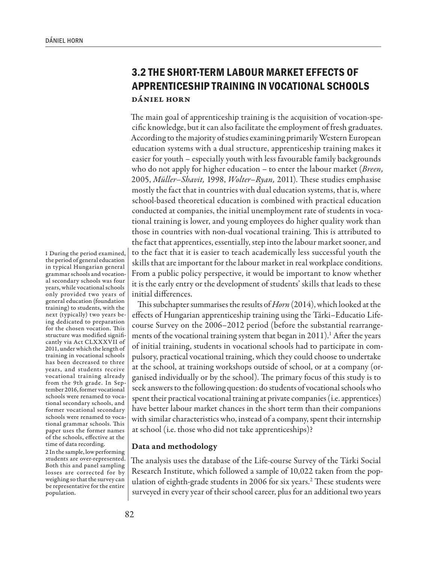## **3.2 THE SHORT-TERM LABOUR MARKET EFFECTS OF APPRENTICESHIP TRAINING IN VOCATIONAL SCHOOLS** Dániel Horn

The main goal of apprenticeship training is the acquisition of vocation-specific knowledge, but it can also facilitate the employment of fresh graduates. According to the majority of studies examining primarily Western European education systems with a dual structure, apprenticeship training makes it easier for youth – especially youth with less favourable family backgrounds who do not apply for higher education – to enter the labour market (*Breen,* 2005, *Müller–Shavit,* 1998, *Wolter–Ryan,* 2011). These studies emphasise mostly the fact that in countries with dual education systems, that is, where school-based theoretical education is combined with practical education conducted at companies, the initial unemployment rate of students in vocational training is lower, and young employees do higher quality work than those in countries with non-dual vocational training. This is attributed to the fact that apprentices, essentially, step into the labour market sooner, and to the fact that it is easier to teach academically less successful youth the skills that are important for the labour market in real workplace conditions. From a public policy perspective, it would be important to know whether it is the early entry or the development of students' skills that leads to these initial differences.

This subchapter summarises the results of *Horn* (2014), which looked at the effects of Hungarian apprenticeship training using the Tárki–Educatio Lifecourse Survey on the 2006–2012 period (before the substantial rearrangements of the vocational training system that began in 2011).<sup>1</sup> After the years of initial training, students in vocational schools had to participate in compulsory, practical vocational training, which they could choose to undertake at the school, at training workshops outside of school, or at a company (organised individually or by the school). The primary focus of this study is to seek answers to the following question: do students of vocational schools who spent their practical vocational training at private companies (i.e. apprentices) have better labour market chances in the short term than their companions with similar characteristics who, instead of a company, spent their internship at school (i.e. those who did not take apprenticeships)?

## Data and methodology

The analysis uses the database of the Life-course Survey of the Tárki Social Research Institute, which followed a sample of 10,022 taken from the population of eighth-grade students in 2006 for six years.2 These students were surveyed in every year of their school career, plus for an additional two years

1 During the period examined, the period of general education in typical Hungarian general grammar schools and vocational secondary schools was four years, while vocational schools only provided two years of general education (foundation training) to students, with the next (typically) two years being dedicated to preparation for the chosen vocation. This structure was modified significantly via Act CLXXXVII of 2011, under which the length of training in vocational schools has been decreased to three years, and students receive vocational training already from the 9th grade. In September 2016, former vocational schools were renamed to vocational secondary schools, and former vocational secondary schools were renamed to vocational grammar schools. This paper uses the former names of the schools, effective at the time of data recording.

2 In the sample, low performing students are over-represented. Both this and panel sampling losses are corrected for by weighing so that the survey can be representative for the entire population.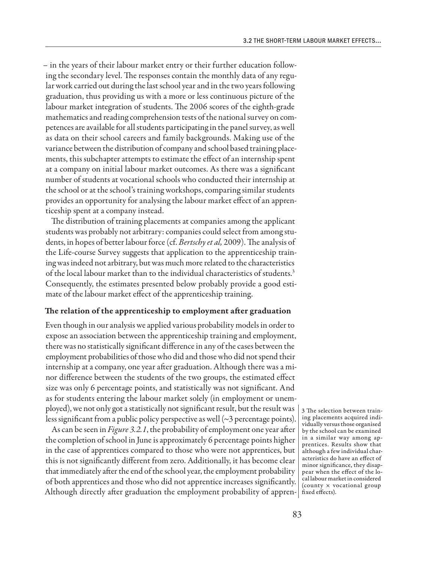– in the years of their labour market entry or their further education following the secondary level. The responses contain the monthly data of any regular work carried out during the last school year and in the two years following graduation, thus providing us with a more or less continuous picture of the labour market integration of students. The 2006 scores of the eighth-grade mathematics and reading comprehension tests of the national survey on competences are available for all students participating in the panel survey, as well as data on their school careers and family backgrounds. Making use of the variance between the distribution of company and school based training placements, this subchapter attempts to estimate the effect of an internship spent at a company on initial labour market outcomes. As there was a significant number of students at vocational schools who conducted their internship at the school or at the school's training workshops, comparing similar students provides an opportunity for analysing the labour market effect of an apprenticeship spent at a company instead.

The distribution of training placements at companies among the applicant students was probably not arbitrary: companies could select from among students, in hopes of better labour force (cf. *Bertschy et al,* 2009). The analysis of the Life-course Survey suggests that application to the apprenticeship training was indeed not arbitrary, but was much more related to the characteristics of the local labour market than to the individual characteristics of students.3 Consequently, the estimates presented below probably provide a good estimate of the labour market effect of the apprenticeship training.

## The relation of the apprenticeship to employment after graduation

Even though in our analysis we applied various probability models in order to expose an association between the apprenticeship training and employment, there was no statistically significant difference in any of the cases between the employment probabilities of those who did and those who did not spend their internship at a company, one year after graduation. Although there was a minor difference between the students of the two groups, the estimated effect size was only 6 percentage points, and statistically was not significant. And as for students entering the labour market solely (in employment or unemployed), we not only got a statistically not significant result, but the result was less significant from a public policy perspective as well  $\sim$ 3 percentage points).

As can be seen in *Figure 3.2.1*, the probability of employment one year after the completion of school in June is approximately 6 percentage points higher in the case of apprentices compared to those who were not apprentices, but this is not significantly different from zero. Additionally, it has become clear that immediately after the end of the school year, the employment probability of both apprentices and those who did not apprentice increases significantly. Although directly after graduation the employment probability of appren-fixed effects).

3 The selection between training placements acquired individually versus those organised by the school can be examined in a similar way among apprentices. Results show that although a few individual characteristics do have an effect of minor significance, they disappear when the effect of the local labour market in considered (county × vocational group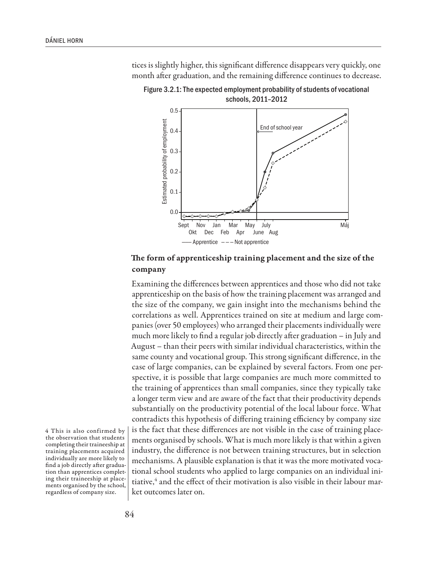tices is slightly higher, this significant difference disappears very quickly, one month after graduation, and the remaining difference continues to decrease.



Figure 3.2.1: The expected employment probability of students of vocational schools, 2011–2012

The form of apprenticeship training placement and the size of the company

Examining the differences between apprentices and those who did not take apprenticeship on the basis of how the training placement was arranged and the size of the company, we gain insight into the mechanisms behind the correlations as well. Apprentices trained on site at medium and large companies (over 50 employees) who arranged their placements individually were much more likely to find a regular job directly after graduation – in July and August – than their peers with similar individual characteristics, within the same county and vocational group. This strong significant difference, in the case of large companies, can be explained by several factors. From one perspective, it is possible that large companies are much more committed to the training of apprentices than small companies, since they typically take a longer term view and are aware of the fact that their productivity depends substantially on the productivity potential of the local labour force. What contradicts this hypothesis of differing training efficiency by company size is the fact that these differences are not visible in the case of training placements organised by schools. What is much more likely is that within a given industry, the difference is not between training structures, but in selection mechanisms. A plausible explanation is that it was the more motivated vocational school students who applied to large companies on an individual initiative,<sup>4</sup> and the effect of their motivation is also visible in their labour market outcomes later on.

4 This is also confirmed by the observation that students completing their traineeship at training placements acquired individually are more likely to find a job directly after graduation than apprentices completing their traineeship at placements organised by the school, regardless of company size.